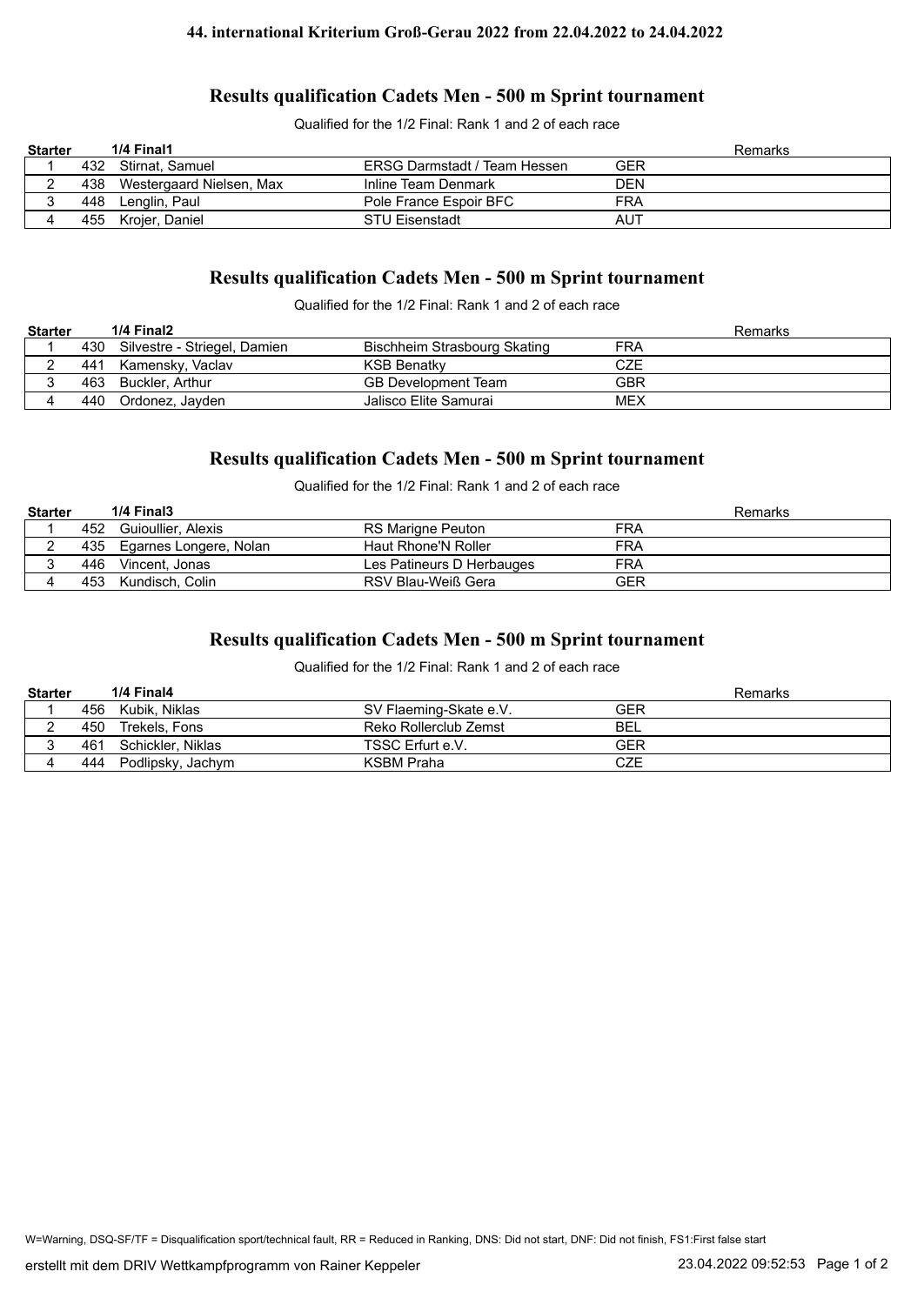## **Results qualification Cadets Men - 500 m Sprint tournament**

Qualified for the 1/2 Final: Rank 1 and 2 of each race

| <b>Starter</b> | 1/4 Final1                   |                              |     | Remarks |
|----------------|------------------------------|------------------------------|-----|---------|
|                | 432 Stirnat, Samuel          | ERSG Darmstadt / Team Hessen | GER |         |
|                | 438 Westergaard Nielsen, Max | Inline Team Denmark          | DEN |         |
|                | 448 Lenglin, Paul            | Pole France Espoir BFC       | FRA |         |
|                | 455 Krojer, Daniel           | <b>STU Eisenstadt</b>        | AUT |         |

# **Results qualification Cadets Men - 500 m Sprint tournament**

Qualified for the 1/2 Final: Rank 1 and 2 of each race

| <b>Starter</b> |     | 1/4 Final2                   |                              | Remarks |
|----------------|-----|------------------------------|------------------------------|---------|
|                | 430 | Silvestre - Striegel, Damien | Bischheim Strasbourg Skating | FRA     |
|                | 441 | Kamensky, Vaclav             | <b>KSB Benatky</b>           | CZE     |
|                | 463 | Buckler. Arthur              | <b>GB Development Team</b>   | GBR     |
|                | 440 | Ordonez, Jayden              | Jalisco Elite Samurai        | MEX     |

## **Results qualification Cadets Men - 500 m Sprint tournament**

Qualified for the 1/2 Final: Rank 1 and 2 of each race

| <b>Starter</b> |      | 1/4 Final3             |                           | Remarks    |
|----------------|------|------------------------|---------------------------|------------|
|                | 452  | Guioullier. Alexis     | RS Marigne Peuton         | FRA        |
|                | 435. | Egarnes Longere, Nolan | Haut Rhone'N Roller       | FRA        |
|                | 446  | Vincent, Jonas         | Les Patineurs D Herbauges | FRA        |
|                | 453  | Kundisch. Colin        | RSV Blau-Weiß Gera        | <b>GER</b> |

## **Results qualification Cadets Men - 500 m Sprint tournament**

Qualified for the 1/2 Final: Rank 1 and 2 of each race

| <b>Starter</b> |     | 1/4 Final4        |                        | Remarks |
|----------------|-----|-------------------|------------------------|---------|
|                | 456 | Kubik. Niklas     | SV Flaeming-Skate e.V. | GER     |
|                | 450 | Trekels, Fons     | Reko Rollerclub Zemst  | BEL     |
|                | 461 | Schickler, Niklas | TSSC Erfurt e.V.       | GER     |
|                | 444 | Podlipsky, Jachym | KSBM Praha             | CZE     |